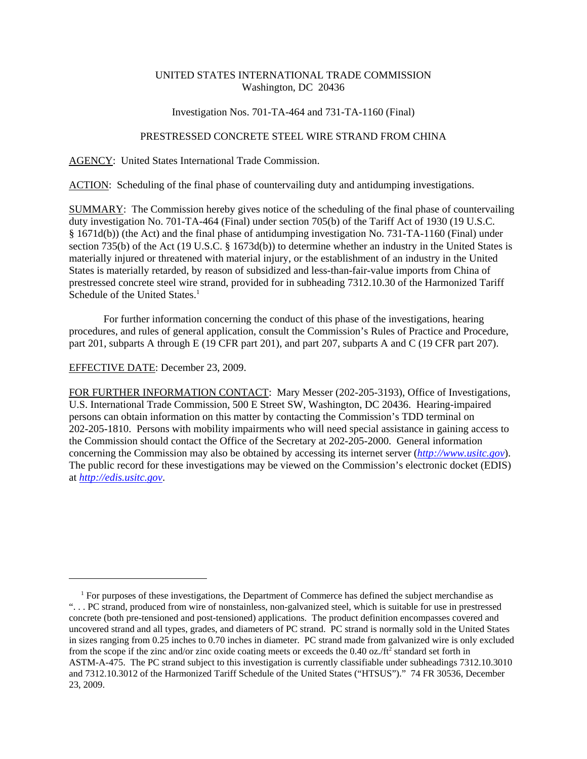## UNITED STATES INTERNATIONAL TRADE COMMISSION Washington, DC 20436

### Investigation Nos. 701-TA-464 and 731-TA-1160 (Final)

# PRESTRESSED CONCRETE STEEL WIRE STRAND FROM CHINA

AGENCY: United States International Trade Commission.

ACTION: Scheduling of the final phase of countervailing duty and antidumping investigations.

SUMMARY: The Commission hereby gives notice of the scheduling of the final phase of countervailing duty investigation No. 701-TA-464 (Final) under section 705(b) of the Tariff Act of 1930 (19 U.S.C. § 1671d(b)) (the Act) and the final phase of antidumping investigation No. 731-TA-1160 (Final) under section 735(b) of the Act (19 U.S.C. § 1673d(b)) to determine whether an industry in the United States is materially injured or threatened with material injury, or the establishment of an industry in the United States is materially retarded, by reason of subsidized and less-than-fair-value imports from China of prestressed concrete steel wire strand, provided for in subheading 7312.10.30 of the Harmonized Tariff Schedule of the United States.<sup>1</sup>

For further information concerning the conduct of this phase of the investigations, hearing procedures, and rules of general application, consult the Commission's Rules of Practice and Procedure, part 201, subparts A through E (19 CFR part 201), and part 207, subparts A and C (19 CFR part 207).

## EFFECTIVE DATE: December 23, 2009.

FOR FURTHER INFORMATION CONTACT: Mary Messer (202-205-3193), Office of Investigations, U.S. International Trade Commission, 500 E Street SW, Washington, DC 20436. Hearing-impaired persons can obtain information on this matter by contacting the Commission's TDD terminal on 202-205-1810. Persons with mobility impairments who will need special assistance in gaining access to the Commission should contact the Office of the Secretary at 202-205-2000. General information concerning the Commission may also be obtained by accessing its internet server (*http://www.usitc.gov*). The public record for these investigations may be viewed on the Commission's electronic docket (EDIS) at *http://edis.usitc.gov*.

<sup>&</sup>lt;sup>1</sup> For purposes of these investigations, the Department of Commerce has defined the subject merchandise as "... PC strand, produced from wire of nonstainless, non-galvanized steel, which is suitable for use in prestressed concrete (both pre-tensioned and post-tensioned) applications. The product definition encompasses covered and uncovered strand and all types, grades, and diameters of PC strand. PC strand is normally sold in the United States in sizes ranging from 0.25 inches to 0.70 inches in diameter. PC strand made from galvanized wire is only excluded from the scope if the zinc and/or zinc oxide coating meets or exceeds the 0.40 oz./ft<sup>2</sup> standard set forth in ASTM-A-475. The PC strand subject to this investigation is currently classifiable under subheadings 7312.10.3010 and 7312.10.3012 of the Harmonized Tariff Schedule of the United States ("HTSUS")." 74 FR 30536, December 23, 2009.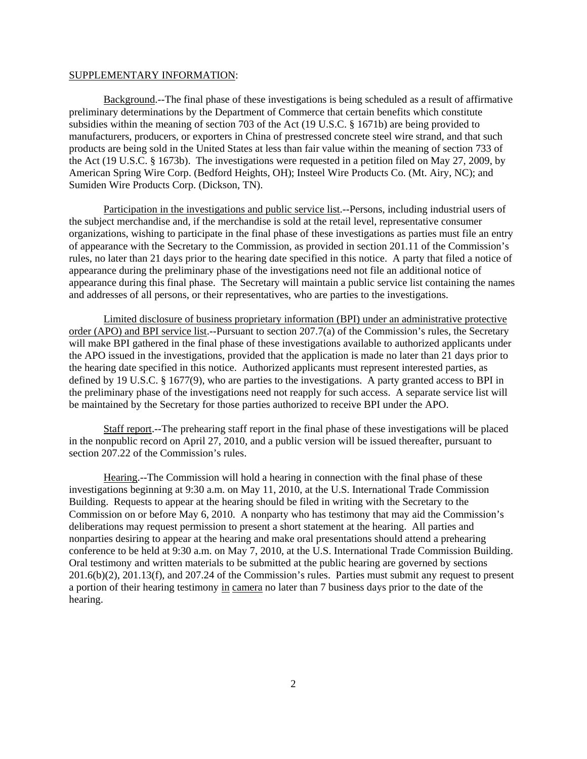#### SUPPLEMENTARY INFORMATION:

Background.--The final phase of these investigations is being scheduled as a result of affirmative preliminary determinations by the Department of Commerce that certain benefits which constitute subsidies within the meaning of section 703 of the Act (19 U.S.C. § 1671b) are being provided to manufacturers, producers, or exporters in China of prestressed concrete steel wire strand, and that such products are being sold in the United States at less than fair value within the meaning of section 733 of the Act (19 U.S.C. § 1673b). The investigations were requested in a petition filed on May 27, 2009, by American Spring Wire Corp. (Bedford Heights, OH); Insteel Wire Products Co. (Mt. Airy, NC); and Sumiden Wire Products Corp. (Dickson, TN).

Participation in the investigations and public service list.--Persons, including industrial users of the subject merchandise and, if the merchandise is sold at the retail level, representative consumer organizations, wishing to participate in the final phase of these investigations as parties must file an entry of appearance with the Secretary to the Commission, as provided in section 201.11 of the Commission's rules, no later than 21 days prior to the hearing date specified in this notice. A party that filed a notice of appearance during the preliminary phase of the investigations need not file an additional notice of appearance during this final phase. The Secretary will maintain a public service list containing the names and addresses of all persons, or their representatives, who are parties to the investigations.

Limited disclosure of business proprietary information (BPI) under an administrative protective order (APO) and BPI service list.--Pursuant to section 207.7(a) of the Commission's rules, the Secretary will make BPI gathered in the final phase of these investigations available to authorized applicants under the APO issued in the investigations, provided that the application is made no later than 21 days prior to the hearing date specified in this notice. Authorized applicants must represent interested parties, as defined by 19 U.S.C. § 1677(9), who are parties to the investigations. A party granted access to BPI in the preliminary phase of the investigations need not reapply for such access. A separate service list will be maintained by the Secretary for those parties authorized to receive BPI under the APO.

Staff report.--The prehearing staff report in the final phase of these investigations will be placed in the nonpublic record on April 27, 2010, and a public version will be issued thereafter, pursuant to section 207.22 of the Commission's rules.

Hearing.--The Commission will hold a hearing in connection with the final phase of these investigations beginning at 9:30 a.m. on May 11, 2010, at the U.S. International Trade Commission Building. Requests to appear at the hearing should be filed in writing with the Secretary to the Commission on or before May 6, 2010. A nonparty who has testimony that may aid the Commission's deliberations may request permission to present a short statement at the hearing. All parties and nonparties desiring to appear at the hearing and make oral presentations should attend a prehearing conference to be held at 9:30 a.m. on May 7, 2010, at the U.S. International Trade Commission Building. Oral testimony and written materials to be submitted at the public hearing are governed by sections 201.6(b)(2), 201.13(f), and 207.24 of the Commission's rules. Parties must submit any request to present a portion of their hearing testimony in camera no later than 7 business days prior to the date of the hearing.